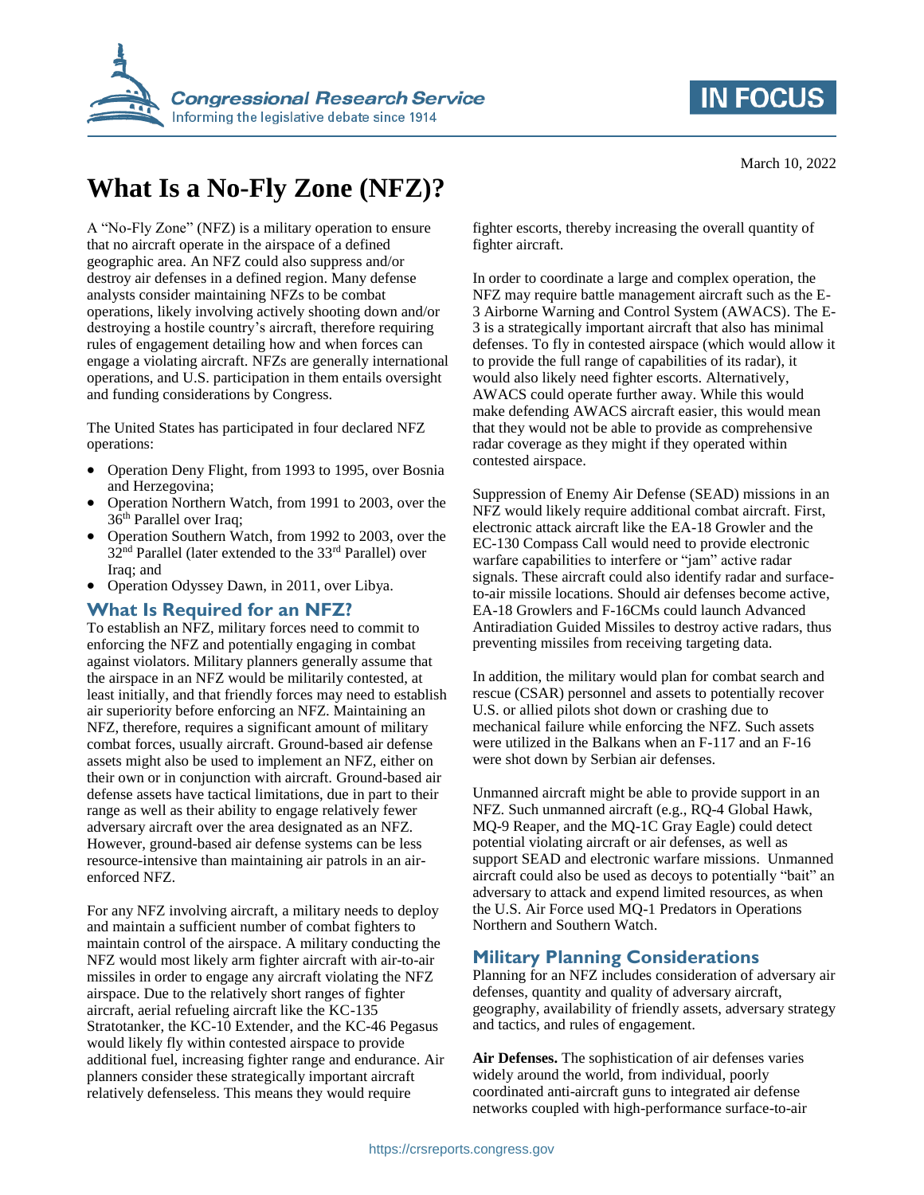



# **What Is a No-Fly Zone (NFZ)?**

A "No-Fly Zone" (NFZ) is a military operation to ensure that no aircraft operate in the airspace of a defined geographic area. An NFZ could also suppress and/or destroy air defenses in a defined region. Many defense analysts consider maintaining NFZs to be combat operations, likely involving actively shooting down and/or destroying a hostile country's aircraft, therefore requiring rules of engagement detailing how and when forces can engage a violating aircraft. NFZs are generally international operations, and U.S. participation in them entails oversight and funding considerations by Congress.

The United States has participated in four declared NFZ operations:

- Operation Deny Flight, from 1993 to 1995, over Bosnia and Herzegovina;
- Operation Northern Watch, from 1991 to 2003, over the 36<sup>th</sup> Parallel over Iraq;
- Operation Southern Watch, from 1992 to 2003, over the  $32<sup>nd</sup>$  Parallel (later extended to the  $33<sup>rd</sup>$  Parallel) over Iraq; and
- Operation Odyssey Dawn, in 2011, over Libya.

#### **What Is Required for an NFZ?**

To establish an NFZ, military forces need to commit to enforcing the NFZ and potentially engaging in combat against violators. Military planners generally assume that the airspace in an NFZ would be militarily contested, at least initially, and that friendly forces may need to establish air superiority before enforcing an NFZ. Maintaining an NFZ, therefore, requires a significant amount of military combat forces, usually aircraft. Ground-based air defense assets might also be used to implement an NFZ, either on their own or in conjunction with aircraft. Ground-based air defense assets have tactical limitations, due in part to their range as well as their ability to engage relatively fewer adversary aircraft over the area designated as an NFZ. However, ground-based air defense systems can be less resource-intensive than maintaining air patrols in an airenforced NFZ.

For any NFZ involving aircraft, a military needs to deploy and maintain a sufficient number of combat fighters to maintain control of the airspace. A military conducting the NFZ would most likely arm fighter aircraft with air-to-air missiles in order to engage any aircraft violating the NFZ airspace. Due to the relatively short ranges of fighter aircraft, aerial refueling aircraft like the KC-135 Stratotanker, the KC-10 Extender, and the KC-46 Pegasus would likely fly within contested airspace to provide additional fuel, increasing fighter range and endurance. Air planners consider these strategically important aircraft relatively defenseless. This means they would require

fighter escorts, thereby increasing the overall quantity of fighter aircraft.

In order to coordinate a large and complex operation, the NFZ may require battle management aircraft such as the E-3 Airborne Warning and Control System (AWACS). The E-3 is a strategically important aircraft that also has minimal defenses. To fly in contested airspace (which would allow it to provide the full range of capabilities of its radar), it would also likely need fighter escorts. Alternatively, AWACS could operate further away. While this would make defending AWACS aircraft easier, this would mean that they would not be able to provide as comprehensive radar coverage as they might if they operated within contested airspace.

Suppression of Enemy Air Defense (SEAD) missions in an NFZ would likely require additional combat aircraft. First, electronic attack aircraft like the EA-18 Growler and the EC-130 Compass Call would need to provide electronic warfare capabilities to interfere or "jam" active radar signals. These aircraft could also identify radar and surfaceto-air missile locations. Should air defenses become active, EA-18 Growlers and F-16CMs could launch Advanced Antiradiation Guided Missiles to destroy active radars, thus preventing missiles from receiving targeting data.

In addition, the military would plan for combat search and rescue (CSAR) personnel and assets to potentially recover U.S. or allied pilots shot down or crashing due to mechanical failure while enforcing the NFZ. Such assets were utilized in the Balkans when an F-117 and an F-16 were shot down by Serbian air defenses.

Unmanned aircraft might be able to provide support in an NFZ. Such unmanned aircraft (e.g., RQ-4 Global Hawk, MQ-9 Reaper, and the MQ-1C Gray Eagle) could detect potential violating aircraft or air defenses, as well as support SEAD and electronic warfare missions. Unmanned aircraft could also be used as decoys to potentially "bait" an adversary to attack and expend limited resources, as when the U.S. Air Force used MQ-1 Predators in Operations Northern and Southern Watch.

### **Military Planning Considerations**

Planning for an NFZ includes consideration of adversary air defenses, quantity and quality of adversary aircraft, geography, availability of friendly assets, adversary strategy and tactics, and rules of engagement.

**Air Defenses.** The sophistication of air defenses varies widely around the world, from individual, poorly coordinated anti-aircraft guns to integrated air defense networks coupled with high-performance surface-to-air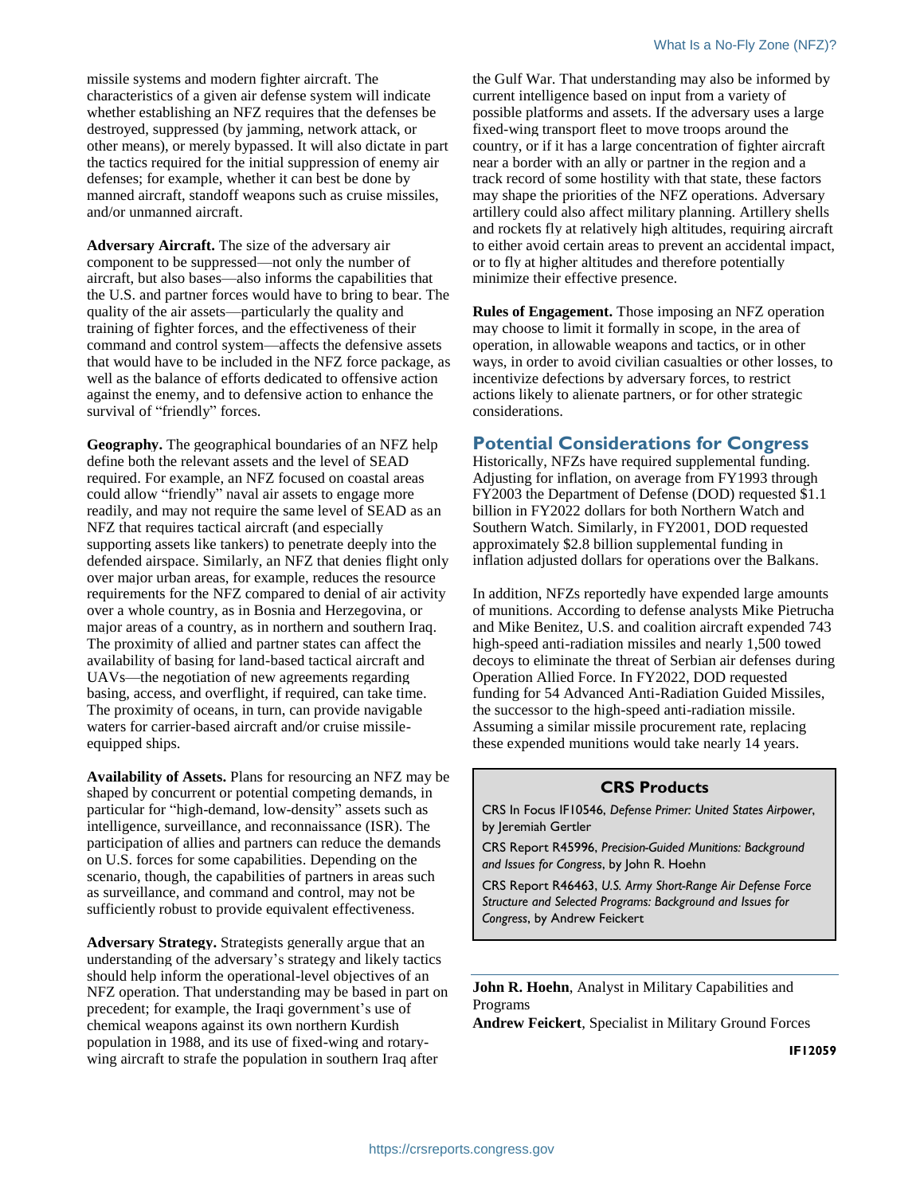missile systems and modern fighter aircraft. The characteristics of a given air defense system will indicate whether establishing an NFZ requires that the defenses be destroyed, suppressed (by jamming, network attack, or other means), or merely bypassed. It will also dictate in part the tactics required for the initial suppression of enemy air defenses; for example, whether it can best be done by manned aircraft, standoff weapons such as cruise missiles, and/or unmanned aircraft.

**Adversary Aircraft.** The size of the adversary air component to be suppressed—not only the number of aircraft, but also bases—also informs the capabilities that the U.S. and partner forces would have to bring to bear. The quality of the air assets—particularly the quality and training of fighter forces, and the effectiveness of their command and control system—affects the defensive assets that would have to be included in the NFZ force package, as well as the balance of efforts dedicated to offensive action against the enemy, and to defensive action to enhance the survival of "friendly" forces.

**Geography.** The geographical boundaries of an NFZ help define both the relevant assets and the level of SEAD required. For example, an NFZ focused on coastal areas could allow "friendly" naval air assets to engage more readily, and may not require the same level of SEAD as an NFZ that requires tactical aircraft (and especially supporting assets like tankers) to penetrate deeply into the defended airspace. Similarly, an NFZ that denies flight only over major urban areas, for example, reduces the resource requirements for the NFZ compared to denial of air activity over a whole country, as in Bosnia and Herzegovina, or major areas of a country, as in northern and southern Iraq. The proximity of allied and partner states can affect the availability of basing for land-based tactical aircraft and UAVs—the negotiation of new agreements regarding basing, access, and overflight, if required, can take time. The proximity of oceans, in turn, can provide navigable waters for carrier-based aircraft and/or cruise missileequipped ships.

**Availability of Assets.** Plans for resourcing an NFZ may be shaped by concurrent or potential competing demands, in particular for "high-demand, low-density" assets such as intelligence, surveillance, and reconnaissance (ISR). The participation of allies and partners can reduce the demands on U.S. forces for some capabilities. Depending on the scenario, though, the capabilities of partners in areas such as surveillance, and command and control, may not be sufficiently robust to provide equivalent effectiveness.

**Adversary Strategy.** Strategists generally argue that an understanding of the adversary's strategy and likely tactics should help inform the operational-level objectives of an NFZ operation. That understanding may be based in part on precedent; for example, the Iraqi government's use of chemical weapons against its own northern Kurdish population in 1988, and its use of fixed-wing and rotarywing aircraft to strafe the population in southern Iraq after

the Gulf War. That understanding may also be informed by current intelligence based on input from a variety of possible platforms and assets. If the adversary uses a large fixed-wing transport fleet to move troops around the country, or if it has a large concentration of fighter aircraft near a border with an ally or partner in the region and a track record of some hostility with that state, these factors may shape the priorities of the NFZ operations. Adversary artillery could also affect military planning. Artillery shells and rockets fly at relatively high altitudes, requiring aircraft to either avoid certain areas to prevent an accidental impact, or to fly at higher altitudes and therefore potentially minimize their effective presence.

**Rules of Engagement.** Those imposing an NFZ operation may choose to limit it formally in scope, in the area of operation, in allowable weapons and tactics, or in other ways, in order to avoid civilian casualties or other losses, to incentivize defections by adversary forces, to restrict actions likely to alienate partners, or for other strategic considerations.

#### **Potential Considerations for Congress**

Historically, NFZs have required supplemental funding. Adjusting for inflation, on average from FY1993 through FY2003 the Department of Defense (DOD) requested \$1.1 billion in FY2022 dollars for both Northern Watch and Southern Watch. Similarly, in FY2001, DOD requested approximately \$2.8 billion supplemental funding in inflation adjusted dollars for operations over the Balkans.

In addition, NFZs reportedly have expended large amounts of munitions. According to defense analysts Mike Pietrucha and Mike Benitez, U.S. and coalition aircraft expended 743 high-speed anti-radiation missiles and nearly 1,500 towed decoys to eliminate the threat of Serbian air defenses during Operation Allied Force. In FY2022, DOD requested funding for 54 Advanced Anti-Radiation Guided Missiles, the successor to the high-speed anti-radiation missile. Assuming a similar missile procurement rate, replacing these expended munitions would take nearly 14 years.

#### **CRS Products**

CRS In Focus IF10546, *Defense Primer: United States Airpower*, by Jeremiah Gertler

CRS Report R45996, *Precision-Guided Munitions: Background and Issues for Congress*, by John R. Hoehn

CRS Report R46463, *U.S. Army Short-Range Air Defense Force Structure and Selected Programs: Background and Issues for Congress*, by Andrew Feickert

**John R. Hoehn**, Analyst in Military Capabilities and Programs

**Andrew Feickert**, Specialist in Military Ground Forces

**IF12059**